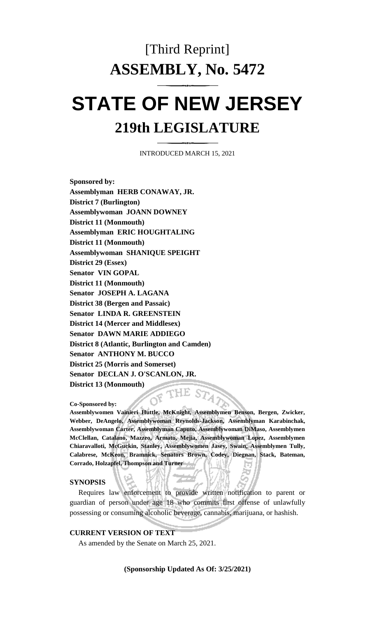# [Third Reprint] **ASSEMBLY, No. 5472**

# **STATE OF NEW JERSEY 219th LEGISLATURE**

INTRODUCED MARCH 15, 2021

**Sponsored by: Assemblyman HERB CONAWAY, JR. District 7 (Burlington) Assemblywoman JOANN DOWNEY District 11 (Monmouth) Assemblyman ERIC HOUGHTALING District 11 (Monmouth) Assemblywoman SHANIQUE SPEIGHT District 29 (Essex) Senator VIN GOPAL District 11 (Monmouth) Senator JOSEPH A. LAGANA District 38 (Bergen and Passaic) Senator LINDA R. GREENSTEIN District 14 (Mercer and Middlesex) Senator DAWN MARIE ADDIEGO District 8 (Atlantic, Burlington and Camden) Senator ANTHONY M. BUCCO District 25 (Morris and Somerset) Senator DECLAN J. O'SCANLON, JR. District 13 (Monmouth)** HE STA

**Co-Sponsored by:**

**Assemblywomen Vainieri Huttle, McKnight, Assemblymen Benson, Bergen, Zwicker, Webber, DeAngelo, Assemblywoman Reynolds-Jackson, Assemblyman Karabinchak, Assemblywoman Carter, Assemblyman Caputo, Assemblywoman DiMaso, Assemblymen McClellan, Catalano, Mazzeo, Armato, Mejia, Assemblywoman Lopez, Assemblymen Chiaravalloti, McGuckin, Stanley, Assemblywomen Jasey, Swain, Assemblymen Tully, Calabrese, McKeon, Bramnick, Senators Brown, Codey, Diegnan, Stack, Bateman, Corrado, Holzapfel, Thompson and Turner**

#### **SYNOPSIS**

Requires law enforcement to provide written notification to parent or guardian of person under age 18 who commits first offense of unlawfully possessing or consuming alcoholic beverage, cannabis, marijuana, or hashish.

#### **CURRENT VERSION OF TEXT**

As amended by the Senate on March 25, 2021.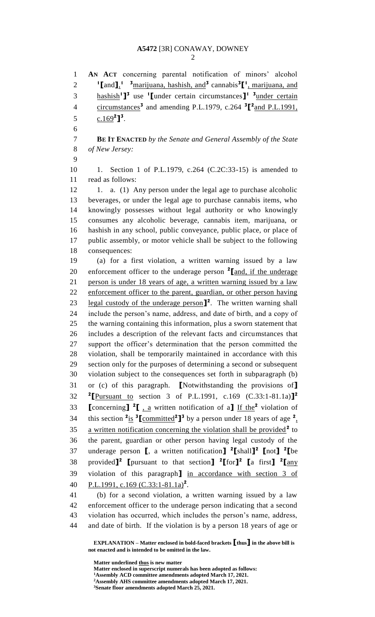**AN ACT** concerning parental notification of minors' alcohol 2 <sup>1</sup> [and ]<sup>1</sup>, <sup>3</sup> marijuana, hashish, and<sup>3</sup> cannabis<sup>3</sup> [<sup>1</sup>, marijuana, and hashish**<sup>1</sup> ] 3** use **<sup>1</sup> [**under certain circumstances**] 1 3** under certain 4 circumstances<sup>3</sup> and amending P.L.1979, c.264  ${}^{3}$  $[{}^{2}$  and P.L.1991,  $c.169^2$ **]**<sup>3</sup>. **BE IT ENACTED** *by the Senate and General Assembly of the State of New Jersey:* 10 1. Section 1 of P.L.1979, c.264 (C.2C:33-15) is amended to read as follows: 12 1. a. (1) Any person under the legal age to purchase alcoholic beverages, or under the legal age to purchase cannabis items, who knowingly possesses without legal authority or who knowingly consumes any alcoholic beverage, cannabis item, marijuana, or hashish in any school, public conveyance, public place, or place of public assembly, or motor vehicle shall be subject to the following consequences: (a) for a first violation, a written warning issued by a law 20 enforcement officer to the underage person <sup>2</sup> [and, if the underage person is under 18 years of age, a written warning issued by a law enforcement officer to the parent, guardian, or other person having 23 legal custody of the underage person<sup>1</sup><sup>2</sup>. The written warning shall include the person's name, address, and date of birth, and a copy of the warning containing this information, plus a sworn statement that includes a description of the relevant facts and circumstances that support the officer's determination that the person committed the violation, shall be temporarily maintained in accordance with this section only for the purposes of determining a second or subsequent violation subject to the consequences set forth in subparagraph (b) or (c) of this paragraph. **[**Notwithstanding the provisions of**] [**Pursuant to section 3 of P.L.1991, c.169 (C.33:1-81.1a)**] 2 [**concerning**]** <sup>2</sup>**[**, <u>a</u></u> written notification of a**]** If the <sup>2</sup> violation of 34 this section  ${}^{2}$ is  ${}^{3}$ **[**committed<sup>2</sup>]<sup>3</sup> by a person under 18 years of age  ${}^{2}$ . 35 a written notification concerning the violation shall be provided<sup>2</sup> to the parent, guardian or other person having legal custody of the underage person **[**, a written notification**] 2 [**shall**] 2 [**not**] 2 [**be provided**] 2 [**pursuant to that section**] 2 [**for**] 2 [**a first**] 2 [**any violation of this paragraph**]** in accordance with section 3 of P.L.1991, c.169 (C.33:1-81.1a)**<sup>2</sup>** . (b) for a second violation, a written warning issued by a law

 enforcement officer to the underage person indicating that a second violation has occurred, which includes the person's name, address, and date of birth. If the violation is by a person 18 years of age or

**EXPLANATION – Matter enclosed in bold-faced brackets [thus] in the above bill is not enacted and is intended to be omitted in the law.**

**Matter underlined thus is new matter**

**Matter enclosed in superscript numerals has been adopted as follows:**

**Assembly ACD committee amendments adopted March 17, 2021.**

**Assembly AHS committee amendments adopted March 17, 2021.**

**Senate floor amendments adopted March 25, 2021.**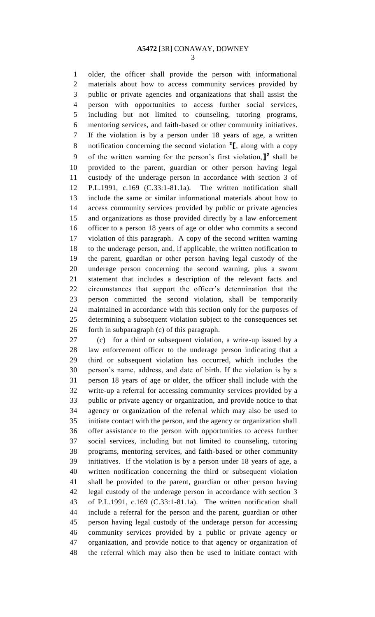### **A5472** [3R] CONAWAY, DOWNEY

 older, the officer shall provide the person with informational materials about how to access community services provided by public or private agencies and organizations that shall assist the person with opportunities to access further social services, including but not limited to counseling, tutoring programs, mentoring services, and faith-based or other community initiatives. If the violation is by a person under 18 years of age, a written notification concerning the second violation **<sup>2</sup> [**, along with a copy 9 of the written warning for the person's first violation,  $\mathbf{l}^2$  shall be provided to the parent, guardian or other person having legal custody of the underage person in accordance with section 3 of P.L.1991, c.169 (C.33:1-81.1a). The written notification shall include the same or similar informational materials about how to access community services provided by public or private agencies and organizations as those provided directly by a law enforcement officer to a person 18 years of age or older who commits a second violation of this paragraph. A copy of the second written warning to the underage person, and, if applicable, the written notification to the parent, guardian or other person having legal custody of the underage person concerning the second warning, plus a sworn statement that includes a description of the relevant facts and circumstances that support the officer's determination that the person committed the second violation, shall be temporarily maintained in accordance with this section only for the purposes of determining a subsequent violation subject to the consequences set forth in subparagraph (c) of this paragraph.

 (c) for a third or subsequent violation, a write-up issued by a law enforcement officer to the underage person indicating that a third or subsequent violation has occurred, which includes the person's name, address, and date of birth. If the violation is by a person 18 years of age or older, the officer shall include with the write-up a referral for accessing community services provided by a public or private agency or organization, and provide notice to that agency or organization of the referral which may also be used to initiate contact with the person, and the agency or organization shall offer assistance to the person with opportunities to access further social services, including but not limited to counseling, tutoring programs, mentoring services, and faith-based or other community initiatives. If the violation is by a person under 18 years of age, a written notification concerning the third or subsequent violation shall be provided to the parent, guardian or other person having legal custody of the underage person in accordance with section 3 of P.L.1991, c.169 (C.33:1-81.1a). The written notification shall include a referral for the person and the parent, guardian or other person having legal custody of the underage person for accessing community services provided by a public or private agency or organization, and provide notice to that agency or organization of the referral which may also then be used to initiate contact with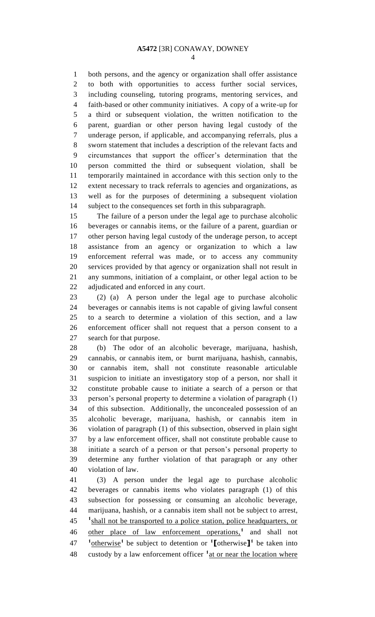both persons, and the agency or organization shall offer assistance to both with opportunities to access further social services, including counseling, tutoring programs, mentoring services, and faith-based or other community initiatives. A copy of a write-up for a third or subsequent violation, the written notification to the parent, guardian or other person having legal custody of the underage person, if applicable, and accompanying referrals, plus a sworn statement that includes a description of the relevant facts and circumstances that support the officer's determination that the person committed the third or subsequent violation, shall be temporarily maintained in accordance with this section only to the extent necessary to track referrals to agencies and organizations, as well as for the purposes of determining a subsequent violation subject to the consequences set forth in this subparagraph.

 The failure of a person under the legal age to purchase alcoholic beverages or cannabis items, or the failure of a parent, guardian or other person having legal custody of the underage person, to accept assistance from an agency or organization to which a law enforcement referral was made, or to access any community services provided by that agency or organization shall not result in any summons, initiation of a complaint, or other legal action to be adjudicated and enforced in any court.

 (2) (a) A person under the legal age to purchase alcoholic beverages or cannabis items is not capable of giving lawful consent to a search to determine a violation of this section, and a law enforcement officer shall not request that a person consent to a search for that purpose.

 (b) The odor of an alcoholic beverage, marijuana, hashish, cannabis, or cannabis item, or burnt marijuana, hashish, cannabis, or cannabis item, shall not constitute reasonable articulable suspicion to initiate an investigatory stop of a person, nor shall it constitute probable cause to initiate a search of a person or that person's personal property to determine a violation of paragraph (1) of this subsection. Additionally, the unconcealed possession of an alcoholic beverage, marijuana, hashish, or cannabis item in violation of paragraph (1) of this subsection, observed in plain sight by a law enforcement officer, shall not constitute probable cause to initiate a search of a person or that person's personal property to determine any further violation of that paragraph or any other violation of law.

 (3) A person under the legal age to purchase alcoholic beverages or cannabis items who violates paragraph (1) of this subsection for possessing or consuming an alcoholic beverage, marijuana, hashish, or a cannabis item shall not be subject to arrest, <sup>1</sup> shall not be transported to a police station, police headquarters, or 46 other place of law enforcement operations,<sup>1</sup> and shall not otherwise**<sup>1</sup>**be subject to detention or **<sup>1</sup> [**otherwise**] 1** be taken into 48 custody by a law enforcement officer <sup>1</sup> at or near the location where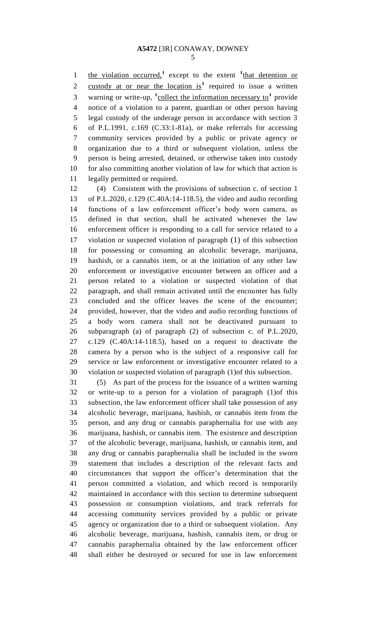1 the violation occurred,<sup>1</sup> except to the extent <sup>1</sup>that detention or 2 custody at or near the location is<sup>1</sup> required to issue a written 3 warning or write-up, <sup>1</sup>collect the information necessary to<sup>1</sup> provide notice of a violation to a parent, guardian or other person having legal custody of the underage person in accordance with section 3 of P.L.1991, c.169 (C.33:1-81a), or make referrals for accessing community services provided by a public or private agency or organization due to a third or subsequent violation, unless the person is being arrested, detained, or otherwise taken into custody for also committing another violation of law for which that action is legally permitted or required.

 (4) Consistent with the provisions of subsection c. of section 1 of P.L.2020, c.129 (C.40A:14-118.5), the video and audio recording functions of a law enforcement officer's body worn camera, as defined in that section, shall be activated whenever the law enforcement officer is responding to a call for service related to a violation or suspected violation of paragraph (1) of this subsection for possessing or consuming an alcoholic beverage, marijuana, hashish, or a cannabis item, or at the initiation of any other law enforcement or investigative encounter between an officer and a person related to a violation or suspected violation of that paragraph, and shall remain activated until the encounter has fully concluded and the officer leaves the scene of the encounter; provided, however, that the video and audio recording functions of a body worn camera shall not be deactivated pursuant to subparagraph (a) of paragraph (2) of subsection c. of P.L.2020, c.129 (C.40A:14-118.5), based on a request to deactivate the camera by a person who is the subject of a responsive call for service or law enforcement or investigative encounter related to a violation or suspected violation of paragraph (1)of this subsection.

 (5) As part of the process for the issuance of a written warning or write-up to a person for a violation of paragraph (1)of this subsection, the law enforcement officer shall take possession of any alcoholic beverage, marijuana, hashish, or cannabis item from the person, and any drug or cannabis paraphernalia for use with any marijuana, hashish, or cannabis item. The existence and description of the alcoholic beverage, marijuana, hashish, or cannabis item, and any drug or cannabis paraphernalia shall be included in the sworn statement that includes a description of the relevant facts and circumstances that support the officer's determination that the person committed a violation, and which record is temporarily maintained in accordance with this section to determine subsequent possession or consumption violations, and track referrals for accessing community services provided by a public or private agency or organization due to a third or subsequent violation. Any alcoholic beverage, marijuana, hashish, cannabis item, or drug or cannabis paraphernalia obtained by the law enforcement officer shall either be destroyed or secured for use in law enforcement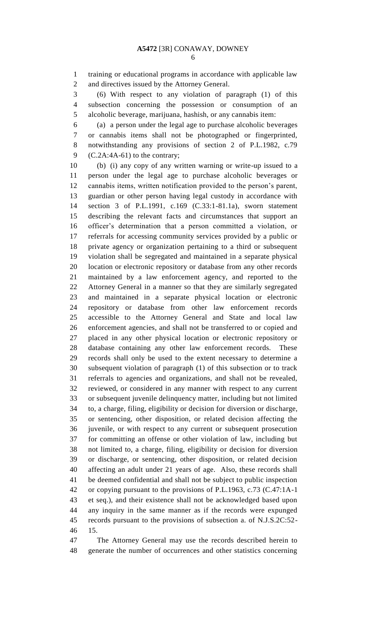training or educational programs in accordance with applicable law and directives issued by the Attorney General.

 (6) With respect to any violation of paragraph (1) of this subsection concerning the possession or consumption of an alcoholic beverage, marijuana, hashish, or any cannabis item:

 (a) a person under the legal age to purchase alcoholic beverages or cannabis items shall not be photographed or fingerprinted, notwithstanding any provisions of section 2 of P.L.1982, c.79 9 (C.2A:4A-61) to the contrary;

 (b) (i) any copy of any written warning or write-up issued to a person under the legal age to purchase alcoholic beverages or cannabis items, written notification provided to the person's parent, guardian or other person having legal custody in accordance with section 3 of P.L.1991, c.169 (C.33:1-81.1a), sworn statement describing the relevant facts and circumstances that support an officer's determination that a person committed a violation, or referrals for accessing community services provided by a public or private agency or organization pertaining to a third or subsequent violation shall be segregated and maintained in a separate physical location or electronic repository or database from any other records maintained by a law enforcement agency, and reported to the Attorney General in a manner so that they are similarly segregated and maintained in a separate physical location or electronic repository or database from other law enforcement records accessible to the Attorney General and State and local law enforcement agencies, and shall not be transferred to or copied and placed in any other physical location or electronic repository or database containing any other law enforcement records. These records shall only be used to the extent necessary to determine a subsequent violation of paragraph (1) of this subsection or to track referrals to agencies and organizations, and shall not be revealed, reviewed, or considered in any manner with respect to any current or subsequent juvenile delinquency matter, including but not limited to, a charge, filing, eligibility or decision for diversion or discharge, or sentencing, other disposition, or related decision affecting the juvenile, or with respect to any current or subsequent prosecution for committing an offense or other violation of law, including but not limited to, a charge, filing, eligibility or decision for diversion or discharge, or sentencing, other disposition, or related decision affecting an adult under 21 years of age. Also, these records shall be deemed confidential and shall not be subject to public inspection or copying pursuant to the provisions of P.L.1963, c.73 (C.47:1A-1 et seq.), and their existence shall not be acknowledged based upon any inquiry in the same manner as if the records were expunged records pursuant to the provisions of subsection a. of N.J.S.2C:52- 15.

 The Attorney General may use the records described herein to generate the number of occurrences and other statistics concerning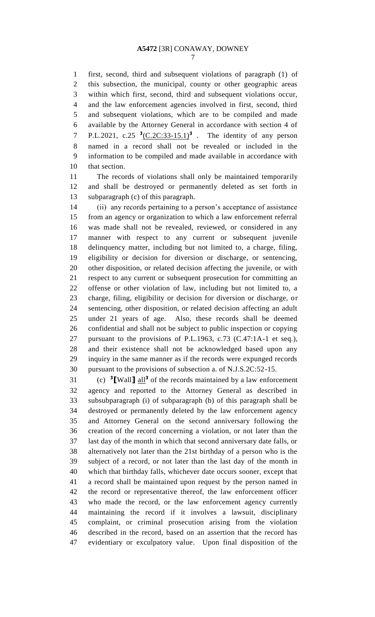## **A5472** [3R] CONAWAY, DOWNEY

 first, second, third and subsequent violations of paragraph (1) of this subsection, the municipal, county or other geographic areas within which first, second, third and subsequent violations occur, and the law enforcement agencies involved in first, second, third and subsequent violations, which are to be compiled and made available by the Attorney General in accordance with section 4 of 7 P.L.2021, c.25  ${}^{3}$ (C.2C:33-15.1)<sup>3</sup>. The identity of any person named in a record shall not be revealed or included in the information to be compiled and made available in accordance with that section.

 The records of violations shall only be maintained temporarily and shall be destroyed or permanently deleted as set forth in subparagraph (c) of this paragraph.

 (ii) any records pertaining to a person's acceptance of assistance from an agency or organization to which a law enforcement referral was made shall not be revealed, reviewed, or considered in any manner with respect to any current or subsequent juvenile delinquency matter, including but not limited to, a charge, filing, eligibility or decision for diversion or discharge, or sentencing, other disposition, or related decision affecting the juvenile, or with respect to any current or subsequent prosecution for committing an offense or other violation of law, including but not limited to, a charge, filing, eligibility or decision for diversion or discharge, or sentencing, other disposition, or related decision affecting an adult under 21 years of age. Also, these records shall be deemed confidential and shall not be subject to public inspection or copying pursuant to the provisions of P.L.1963, c.73 (C.47:1A-1 et seq.), and their existence shall not be acknowledged based upon any inquiry in the same manner as if the records were expunged records pursuant to the provisions of subsection a. of N.J.S.2C:52-15.

31 (c) <sup>3</sup>[Wall]  $\frac{all^3}{all^3}$  of the records maintained by a law enforcement agency and reported to the Attorney General as described in subsubparagraph (i) of subparagraph (b) of this paragraph shall be destroyed or permanently deleted by the law enforcement agency and Attorney General on the second anniversary following the creation of the record concerning a violation, or not later than the last day of the month in which that second anniversary date falls, or alternatively not later than the 21st birthday of a person who is the subject of a record, or not later than the last day of the month in which that birthday falls, whichever date occurs sooner, except that a record shall be maintained upon request by the person named in the record or representative thereof, the law enforcement officer who made the record, or the law enforcement agency currently maintaining the record if it involves a lawsuit, disciplinary complaint, or criminal prosecution arising from the violation described in the record, based on an assertion that the record has evidentiary or exculpatory value. Upon final disposition of the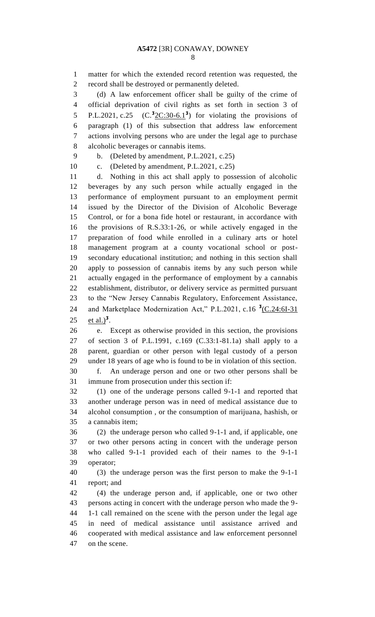matter for which the extended record retention was requested, the record shall be destroyed or permanently deleted.

 (d) A law enforcement officer shall be guilty of the crime of official deprivation of civil rights as set forth in section 3 of P.L.2021, c.25 5 P.L.2021, c.25  $(C.\overline{32C:30-6.1}^3)$  for violating the provisions of paragraph (1) of this subsection that address law enforcement actions involving persons who are under the legal age to purchase alcoholic beverages or cannabis items.

b. (Deleted by amendment, P.L.2021, c.25)

c. (Deleted by amendment, P.L.2021, c.25)

 d. Nothing in this act shall apply to possession of alcoholic beverages by any such person while actually engaged in the performance of employment pursuant to an employment permit issued by the Director of the Division of Alcoholic Beverage Control, or for a bona fide hotel or restaurant, in accordance with the provisions of R.S.33:1-26, or while actively engaged in the preparation of food while enrolled in a culinary arts or hotel management program at a county vocational school or post- secondary educational institution; and nothing in this section shall apply to possession of cannabis items by any such person while actually engaged in the performance of employment by a cannabis establishment, distributor, or delivery service as permitted pursuant to the "New Jersey Cannabis Regulatory, Enforcement Assistance, 24 and Marketplace Modernization Act," P.L.2021, c.16<sup>3</sup>(C.24:6I-31)  $\text{et } \text{al.}$ <sup>3</sup>.

 e. Except as otherwise provided in this section, the provisions of section 3 of P.L.1991, c.169 (C.33:1-81.1a) shall apply to a parent, guardian or other person with legal custody of a person under 18 years of age who is found to be in violation of this section. f. An underage person and one or two other persons shall be immune from prosecution under this section if:

 (1) one of the underage persons called 9-1-1 and reported that another underage person was in need of medical assistance due to alcohol consumption , or the consumption of marijuana, hashish, or a cannabis item;

 (2) the underage person who called 9-1-1 and, if applicable, one or two other persons acting in concert with the underage person who called 9-1-1 provided each of their names to the 9-1-1 operator;

 (3) the underage person was the first person to make the 9-1-1 report; and

 (4) the underage person and, if applicable, one or two other persons acting in concert with the underage person who made the 9- 1-1 call remained on the scene with the person under the legal age in need of medical assistance until assistance arrived and cooperated with medical assistance and law enforcement personnel on the scene.